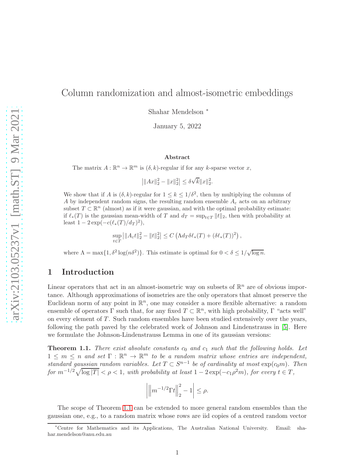# Column randomization and almost-isometric embeddings

Shahar Mendelson <sup>∗</sup>

January 5, 2022

#### Abstract

The matrix  $A: \mathbb{R}^n \to \mathbb{R}^m$  is  $(\delta, k)$ -regular if for any k-sparse vector x,

 $||Ax||_2^2 - ||x||_2^2| \le \delta \sqrt{k} ||x||_2^2.$ 

We show that if A is  $(\delta, k)$ -regular for  $1 \leq k \leq 1/\delta^2$ , then by multiplying the columns of A by independent random signs, the resulting random ensemble  $A_{\varepsilon}$  acts on an arbitrary subset  $T \subset \mathbb{R}^n$  (almost) as if it were gaussian, and with the optimal probability estimate: if  $\ell_*(T)$  is the gaussian mean-width of T and  $d_T = \sup_{t \in T} ||t||_2$ , then with probability at least  $1 - 2 \exp(-c(\ell_*(T)/d_T)^2),$ 

$$
\sup_{t\in T} ||A_{\varepsilon}t||_2^2 - ||t||_2^2| \leq C \left(\Lambda d_T \delta \ell_*(T) + (\delta \ell_*(T))^2\right),
$$

where  $\Lambda = \max\{1, \delta^2 \log(n\delta^2)\}\.$  This estimate is optimal for  $0 < \delta \leq 1/\sqrt{\log n}$ .

### 1 Introduction

Linear operators that act in an almost-isometric way on subsets of  $\mathbb{R}^n$  are of obvious importance. Although approximations of isometries are the only operators that almost preserve the Euclidean norm of any point in  $\mathbb{R}^n$ , one may consider a more flexible alternative: a random ensemble of operators  $\Gamma$  such that, for any fixed  $T \subset \mathbb{R}^n$ , with high probability,  $\Gamma$  "acts well" on every element of T. Such random ensembles have been studied extensively over the years, following the path paved by the celebrated work of Johnson and Lindenstrauss in [\[5\]](#page-19-0). Here we formulate the Johnson-Lindenstrauss Lemma in one of its gaussian versions:

<span id="page-0-0"></span>**Theorem 1.1.** *There exist absolute constants*  $c_0$  *and*  $c_1$  *such that the following holds. Let*  $1 \leq m \leq n$  and set  $\Gamma : \mathbb{R}^n \to \mathbb{R}^m$  to be a random matrix whose entries are independent, *standard gaussian random variables. Let*  $T \subset S^{n-1}$  *be of cardinality at most*  $\exp(c_0 m)$ *. Then*  $for \ m^{-1/2}\sqrt{\log |T|} < \rho < 1$ , with probability at least  $1 - 2\exp(-c_1\rho^2 m)$ , for every  $t \in T$ ,

$$
\left| \left\| m^{-1/2} \Gamma t \right\|_2^2 - 1 \right| \le \rho.
$$

The scope of Theorem [1.1](#page-0-0) can be extended to more general random ensembles than the gaussian one, e.g., to a random matrix whose rows are iid copies of a centred random vector

<sup>∗</sup>Centre for Mathematics and its Applications, The Australian National University. Email: shahar.mendelson@anu.edu.au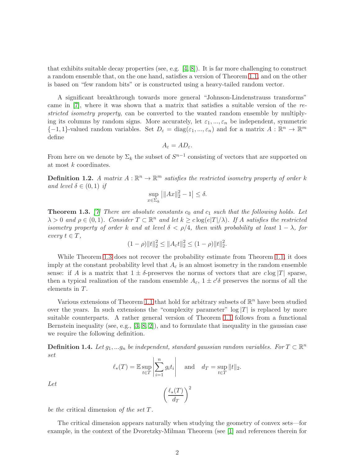that exhibits suitable decay properties (see, e.g. [\[4,](#page-18-0) [8\]](#page-19-1)). It is far more challenging to construct a random ensemble that, on the one hand, satisfies a version of Theorem [1.1,](#page-0-0) and on the other is based on "few random bits" or is constructed using a heavy-tailed random vector.

A significant breakthrough towards more general "Johnson-Lindenstrauss transforms" came in [\[7\]](#page-19-2), where it was shown that a matrix that satisfies a suitable version of the *restricted isometry property*, can be converted to the wanted random ensemble by multiplying its columns by random signs. More accurately, let  $\varepsilon_1, ..., \varepsilon_n$  be independent, symmetric  ${-1, 1}$ -valued random variables. Set  $D_{\varepsilon} = \text{diag}(\varepsilon_1, ..., \varepsilon_n)$  and for a matrix  $A : \mathbb{R}^n \to \mathbb{R}^m$ define

$$
A_{\varepsilon}=AD_{\varepsilon}.
$$

From here on we denote by  $\Sigma_k$  the subset of  $S^{n-1}$  consisting of vectors that are supported on at most k coordinates.

**Definition 1.2.** A matrix  $A : \mathbb{R}^n \to \mathbb{R}^m$  satisfies the restricted isometry property of order k *and level*  $\delta \in (0,1)$  *if* 

$$
\sup_{x \in \Sigma_k} \left| \|Ax\|_2^2 - 1 \right| \le \delta.
$$

<span id="page-1-0"></span>**Theorem 1.3.** *[\[7\]](#page-19-2) There are absolute constants*  $c_0$  *and*  $c_1$  *such that the following holds. Let*  $\lambda > 0$  and  $\rho \in (0, 1)$ *. Consider*  $T \subset \mathbb{R}^n$  and let  $k \geq c \log(e|T|/\lambda)$ *. If* A satisfies the restricted *isometry property of order* k and at level  $\delta < \rho/4$ , then with probability at least  $1 - \lambda$ , for  $every \ t \in T,$ 

$$
(1 - \rho) \|t\|_2^2 \le \|A_{\varepsilon}t\|_2^2 \le (1 - \rho) \|t\|_2^2.
$$

While Theorem [1.3](#page-1-0) does not recover the probability estimate from Theorem [1.1,](#page-0-0) it does imply at the constant probability level that  $A_{\varepsilon}$  is an almost isometry in the random ensemble sense: if A is a matrix that  $1 \pm \delta$ -preserves the norms of vectors that are  $c \log |T|$  sparse, then a typical realization of the random ensemble  $A_{\varepsilon}$ ,  $1 \pm c' \delta$  preserves the norms of all the elements in T.

Various extensions of Theorem [1.1](#page-0-0) that hold for arbitrary subsets of  $\mathbb{R}^n$  have been studied over the years. In such extensions the "complexity parameter"  $\log |T|$  is replaced by more suitable counterparts. A rather general version of Theorem [1.1](#page-0-0) follows from a functional Bernstein inequality (see, e.g., [\[3,](#page-18-1) [8,](#page-19-1) [2\]](#page-18-2)), and to formulate that inequality in the gaussian case we require the following definition.

**Definition 1.4.** Let  $g_1, \ldots g_n$  be independent, standard gaussian random variables. For  $T \subset \mathbb{R}^n$ *set*

$$
\ell_*(T) = \mathbb{E} \sup_{t \in T} \left| \sum_{i=1}^n g_i t_i \right| \quad \text{and} \quad d_T = \sup_{t \in T} ||t||_2.
$$

 $\setminus^2$ 

 $\ell_*(T)$  $d_T$ 

*Let*

*be the* critical dimension *of the set* T*.*

The critical dimension appears naturally when studying the geometry of convex sets—for example, in the context of the Dvoretzky-Milman Theorem (see [\[1\]](#page-18-3) and references therein for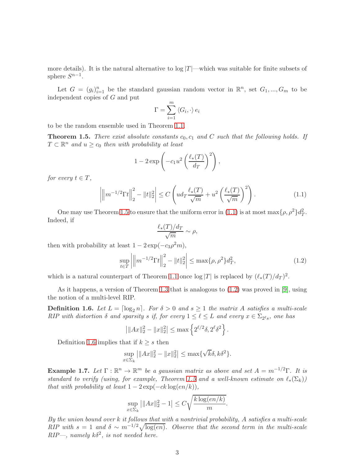more details). It is the natural alternative to  $\log |T|$ —which was suitable for finite subsets of sphere  $S^{n-1}$ .

Let  $G = (g_i)_{i=1}^n$  be the standard gaussian random vector in  $\mathbb{R}^n$ , set  $G_1, ..., G_m$  to be independent copies of G and put

$$
\Gamma = \sum_{i=1}^m \langle G_i, \cdot \rangle e_i
$$

to be the random ensemble used in Theorem [1.1.](#page-0-0)

<span id="page-2-0"></span>**Theorem 1.5.** *There exist absolute constants*  $c_0$ ,  $c_1$  *and* C *such that the following holds.* If  $T \subset \mathbb{R}^n$  and  $u \geq c_0$  then with probability at least

$$
1 - 2 \exp\left(-c_1 u^2 \left(\frac{\ell_*(T)}{d_T}\right)^2\right),\,
$$

*for every*  $t \in T$ *,* 

<span id="page-2-1"></span>
$$
\left| \left\| m^{-1/2} \Gamma t \right\|_{2}^{2} - \|t\|_{2}^{2} \right| \le C \left( u d_{T} \frac{\ell_{*}(T)}{\sqrt{m}} + u^{2} \left( \frac{\ell_{*}(T)}{\sqrt{m}} \right)^{2} \right).
$$
 (1.1)

One may use Theorem [1.5](#page-2-0) to ensure that the uniform error in [\(1.1\)](#page-2-1) is at most  $\max{\{\rho, \rho^2\}}d_T^2$ . Indeed, if

$$
\frac{\ell_*(T)/d_T}{\sqrt{m}} \sim \rho,
$$

then with probability at least  $1 - 2 \exp(-c_3 \rho^2 m)$ ,

<span id="page-2-2"></span>
$$
\sup_{t \in T} \left| \left\| m^{-1/2} \Gamma t \right\|_2^2 - \|t\|_2^2 \right| \le \max\{\rho, \rho^2\} d_T^2,\tag{1.2}
$$

which is a natural counterpart of Theorem [1.1](#page-0-0) once  $\log |T|$  is replaced by  $(\ell_*(T)/d_T)^2$ .

As it happens, a version of Theorem [1.3](#page-1-0) that is analogous to [\(1.2\)](#page-2-2) was proved in [\[9\]](#page-19-3), using the notion of a multi-level RIP.

<span id="page-2-3"></span>**Definition 1.6.** Let  $L = \lceil \log_2 n \rceil$ . For  $\delta > 0$  and  $s \ge 1$  the matrix A satisfies a multi-scale *RIP* with distortion  $\delta$  and sparsity  $s$  if, for every  $1 \leq \ell \leq L$  and every  $x \in \Sigma_{2^{\ell}s}$ , one has

$$
\left| \|Ax\|_2^2 - \|x\|_2^2 \right| \le \max \left\{ 2^{\ell/2} \delta, 2^\ell \delta^2 \right\}.
$$

Definition [1.6](#page-2-3) implies that if  $k \geq s$  then

$$
\sup_{x \in \Sigma_k} ||Ax||_2^2 - ||x||_2^2| \le \max\{\sqrt{k}\delta, k\delta^2\}.
$$

<span id="page-2-4"></span>**Example 1.7.** Let  $\Gamma : \mathbb{R}^n \to \mathbb{R}^m$  be a gaussian matrix as above and set  $A = m^{-1/2}\Gamma$ . It is *standard to verify (using, for example, Theorem [1.5](#page-2-0) and a well-known estimate on*  $\ell_*(\Sigma_k)$ ) *that with probability at least*  $1 - 2 \exp(-ck \log(en/k))$ ,

$$
\sup_{x \in \Sigma_k} \left| \|Ax\|_2^2 - 1 \right| \le C \sqrt{\frac{k \log(en/k)}{m}}.
$$

*By the union bound over* k *it follows that with a nontrivial probability,* A *satisfies a multi-scale RIP* with  $s = 1$  and  $\delta \sim m^{-1/2}\sqrt{\log(en)}$ . Observe that the second term in the multi-scale  $RIP-$ , namely  $k\delta^2$ , is not needed here.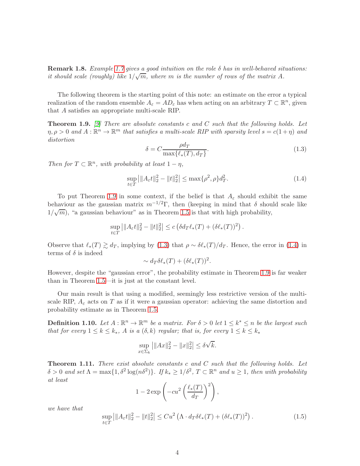Remark 1.8. *Example [1.7](#page-2-4) gives a good intuition on the role* δ *has in well-behaved situations: it should scale (roughly) like*  $1/\sqrt{m}$ , where *m is the number of rows of the matrix A.* 

The following theorem is the starting point of this note: an estimate on the error a typical realization of the random ensemble  $A_{\varepsilon} = AD_{\varepsilon}$  has when acting on an arbitrary  $T \subset \mathbb{R}^n$ , given that A satisfies an appropriate multi-scale RIP.

<span id="page-3-0"></span>Theorem 1.9. *[\[9\]](#page-19-3) There are absolute constants* c *and* C *such that the following holds. Let*  $\eta, \rho > 0$  and  $A: \mathbb{R}^n \to \mathbb{R}^m$  that satisfies a multi-scale RIP with sparsity level  $s = c(1 + \eta)$  and *distortion*

<span id="page-3-1"></span>
$$
\delta = C \frac{\rho d_T}{\max\{\ell_*(T), d_T\}}.\tag{1.3}
$$

*Then for*  $T \subset \mathbb{R}^n$ *, with probability at least*  $1 - \eta$ *,* 

<span id="page-3-2"></span>
$$
\sup_{t \in T} ||A_{\varepsilon}t||_2^2 - ||t||_2^2| \le \max\{\rho^2, \rho\} d_T^2. \tag{1.4}
$$

To put Theorem [1.9](#page-3-0) in some context, if the belief is that  $A_{\varepsilon}$  should exhibit the same behaviour as the gaussian matrix  $m^{-1/2}\Gamma$ , then (keeping in mind that  $\delta$  should scale like  $1/\sqrt{m}$ , "a gaussian behaviour" as in Theorem [1.5](#page-2-0) is that with high probability,

$$
\sup_{t \in T} ||A_{\varepsilon}t||_2^2 - ||t||_2^2 \le c \left( \delta d_T \ell_*(T) + (\delta \ell_*(T))^2 \right).
$$

Observe that  $\ell_*(T) \gtrsim d_T$ , implying by [\(1.3\)](#page-3-1) that  $\rho \sim \delta \ell_*(T)/d_T$ . Hence, the error in [\(1.4\)](#page-3-2) in terms of  $\delta$  is indeed

$$
\sim d_T \delta \ell_*(T) + (\delta \ell_*(T))^2.
$$

However, despite the "gaussian error", the probability estimate in Theorem [1.9](#page-3-0) is far weaker than in Theorem [1.5—](#page-2-0)it is just at the constant level.

Our main result is that using a modified, seemingly less restrictive version of the multiscale RIP,  $A_{\varepsilon}$  acts on T as if it were a gaussian operator: achieving the same distortion and probability estimate as in Theorem [1.5.](#page-2-0)

**Definition 1.10.** Let  $A : \mathbb{R}^n \to \mathbb{R}^m$  be a matrix. For  $\delta > 0$  let  $1 \leq k^* \leq n$  be the largest such *that for every*  $1 \leq k \leq k_*$ , A *is a*  $(\delta, k)$  *regular; that is, for every*  $1 \leq k \leq k_*$ 

$$
\sup_{x \in \Sigma_k} |||Ax||_2^2 - ||x||_2^2| \le \delta \sqrt{k}.
$$

<span id="page-3-3"></span>Theorem 1.11. *There exist absolute constants* c *and* C *such that the following holds. Let*  $\delta > 0$  and set  $\Lambda = \max\{1, \delta^2 \log(n\delta^2)\}\$ . If  $k_* \geq 1/\delta^2$ ,  $T \subset \mathbb{R}^n$  and  $u \geq 1$ , then with probability *at least*

$$
1 - 2 \exp\left(-cu^2 \left(\frac{\ell_*(T)}{d_T}\right)^2\right),\,
$$

*we have that*

<span id="page-3-4"></span>
$$
\sup_{t \in T} \left| \|A_{\varepsilon}t\|_{2}^{2} - \|t\|_{2}^{2} \right| \leq Cu^{2} \left( \Lambda \cdot d_{T} \delta \ell_{*}(T) + (\delta \ell_{*}(T))^{2} \right). \tag{1.5}
$$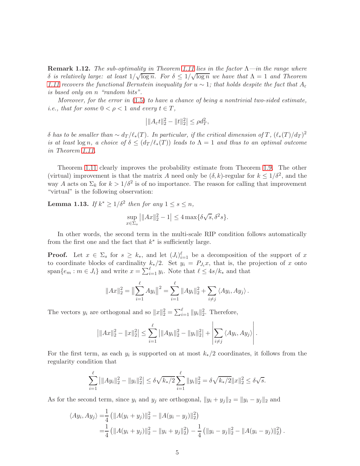Remark 1.12. *The sub-optimality in Theorem [1.11](#page-3-3) lies in the factor* Λ*—in the range where*  $δ$  *is relatively large: at least*  $1/\sqrt{\log n}$ *. For*  $δ ≤ 1/\sqrt{\log n}$  *we have that*  $Λ = 1$  *and Theorem [1.11](#page-3-3)* recovers the functional Bernstein inequality for  $u ∼ 1$ ; that holds despite the fact that  $A_\varepsilon$ *is based only on* n *"random bits".*

*Moreover, for the error in* [\(1.5\)](#page-3-4) *to have a chance of being a nontrivial two-sided estimate, i.e., that for some*  $0 < \rho < 1$  *and every*  $t \in T$ *,* 

$$
\left| \|A_{\varepsilon}t\|_2^2 - \|t\|_2^2 \right| \le \rho d_T^2,
$$

 $\delta$  *has to be smaller than*  $\sim d_T/\ell_*(T)$ *. In particular, if the critical dimension of*  $T$ *,*  $(\ell_*(T)/d_T)^2$ *is at least*  $\log n$ , a choice of  $\delta \leq (d_T/\ell_*(T))$  *leads to*  $\Lambda = 1$  *and thus to an optimal outcome in Theorem [1.11.](#page-3-3)*

Theorem [1.11](#page-3-3) clearly improves the probability estimate from Theorem [1.9.](#page-3-0) The other (virtual) improvement is that the matrix A need only be  $(\delta, k)$ -regular for  $k \leq 1/\delta^2$ , and the way A acts on  $\Sigma_k$  for  $k > 1/\delta^2$  is of no importance. The reason for calling that improvement "virtual" is the following observation:

**Lemma 1.13.** *If*  $k^* \geq 1/\delta^2$  *then for any*  $1 \leq s \leq n$ *,* 

$$
\sup_{x \in \Sigma_s} \left| \|Ax\|_2^2 - 1 \right| \le 4 \max\{\delta\sqrt{s}, \delta^2 s\}.
$$

In other words, the second term in the multi-scale RIP condition follows automatically from the first one and the fact that  $k^*$  is sufficiently large.

**Proof.** Let  $x \in \Sigma_s$  for  $s \geq k_*$ , and let  $(J_i)_{i=1}^{\ell}$  be a decomposition of the support of x to coordinate blocks of cardinality  $k_*/2$ . Set  $y_i = P_{J_i}x$ , that is, the projection of x onto span $\{e_m : m \in J_i\}$  and write  $x = \sum_{i=1}^{\ell} y_i$ . Note that  $\ell \leq 4s/k_*$  and that

$$
||Ax||_2^2 = ||\sum_{i=1}^{\ell} Ay_i||^2 = \sum_{i=1}^{\ell} ||Ay_i||_2^2 + \sum_{i \neq j} \langle Ay_i, Ay_j \rangle.
$$

The vectors  $y_i$  are orthogonal and so  $||x||_2^2 = \sum_{i=1}^{\ell} ||y_i||_2^2$ . Therefore,

$$
\left|\|Ax\|_2^2 - \|x\|_2^2\right| \le \sum_{i=1}^{\ell} \left|\|Ay_i\|_2^2 - \|y_i\|_2^2\right| + \left|\sum_{i \ne j} \langle Ay_i, Ay_j \rangle\right|.
$$

For the first term, as each  $y_i$  is supported on at most  $k_*/2$  coordinates, it follows from the regularity condition that

$$
\sum_{i=1}^{\ell} |||Ay_i||_2^2 - ||y_i||_2^2| \le \delta \sqrt{k_*/2} \sum_{i=1}^{\ell} ||y_i||_2^2 = \delta \sqrt{k_*/2} ||x||_2^2 \le \delta \sqrt{s}.
$$

As for the second term, since  $y_i$  and  $y_j$  are orthogonal,  $||y_i + y_j||_2 = ||y_i - y_j||_2$  and

$$
\langle Ay_i, Ay_j \rangle = \frac{1}{4} (||A(y_i + y_j)||_2^2 - ||A(y_i - y_j)||_2^2)
$$
  
= 
$$
\frac{1}{4} (||A(y_i + y_j)||_2^2 - ||y_i + y_j||_2^2) - \frac{1}{4} (||y_i - y_j||_2^2 - ||A(y_i - y_j)||_2^2).
$$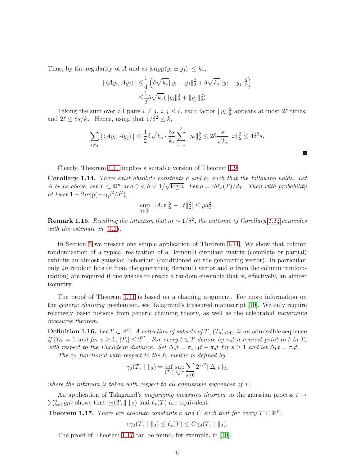Thus, by the regularity of A and as  $|\text{supp}(y_i \pm y_j)| \leq k_*$ ,

$$
|\langle Ay_i, Ay_j \rangle| \leq \frac{1}{4} \left( \delta \sqrt{k_*} \|y_i + y_j\|_2^2 + \delta \sqrt{k_*} \|y_i - y_j\|_2^2 \right) \n\leq \frac{1}{2} \delta \sqrt{k_*} (\|y_i\|_2^2 + \|y_j\|_2^2).
$$

Taking the sum over all pairs  $i \neq j$ ,  $i, j \leq \ell$ , each factor  $||y_i||_2^2$  appears at most  $2\ell$  times, and  $2\ell \leq 8s/k_*$ . Hence, using that  $1/\delta^2 \leq k_*$ 

$$
\sum_{i \neq j} |\langle Ay_i, Ay_j \rangle| \leq \frac{1}{2} \delta \sqrt{k_*} \cdot \frac{8s}{k_*} \sum_{i=1}^{\ell} \|y_i\|_2^2 \leq 2 \delta \frac{s}{\sqrt{k_*}} \|x\|_2^2 \leq 4\delta^2 s.
$$

**Talent** 

Clearly, Theorem [1.11](#page-3-3) implies a suitable version of Theorem [1.9.](#page-3-0)

<span id="page-5-0"></span>Corollary 1.14. *There exist absolute constants* c *and* c<sup>1</sup> *such that the following holds. Let* A be as above, set  $T \subset \mathbb{R}^n$  and  $0 < \delta < 1/\sqrt{\log n}$ . Let  $\rho = c \delta \ell_*(T)/d_T$ . Then with probability  $at least 1 - 2 \exp(-c_1 \rho^2/\delta^2),$ 

$$
\sup_{t \in T} |||A_{\varepsilon}t||_2^2 - ||t||_2^2| \le \rho d_T^2.
$$

**Remark 1.15.** *Recalling the intuition that*  $m \sim 1/\delta^2$ , *the outcome of Corollary* [1.14](#page-5-0) *coincides with the estimate in* [\(1.2\)](#page-2-2)*.*

In Section [3](#page-17-0) we present one simple application of Theorem [1.11.](#page-3-3) We show that column randomization of a typical realization of a Bernoulli circulant matrix (complete or partial) exhibits an almost gaussian behaviour (conditioned on the generating vector). In particular, only  $2n$  random bits (*n* from the generating Bernoulli vector and *n* from the column randomization) are required if one wishes to create a random ensemble that is, effectively, an almost isometry.

The proof of Theorem [1.11](#page-3-3) is based on a chaining argument. For more information on the *generic chaining* mechanism, see Talagrand's treasured manuscript [\[10\]](#page-19-4). We only require relatively basic notions from generic chaining theory, as well as the celebrated *majorizing measures theorem*.

**Definition 1.16.** Let  $T \subset \mathbb{R}^n$ . A collection of subsets of T,  $(T_s)_{s \geq 0}$ , is an admissible sequence  $if |T_0| = 1$  and for  $s \ge 1$ ,  $|T_s| \le 2^{2^s}$ . For every  $t \in T$  denote by  $\overline{\pi}_s t$  a nearest point to t in  $T_s$ *with respect to the Euclidean distance. Set*  $\Delta_s t = \pi_{s+1}t - \pi_s t$  *for*  $s \ge 1$  *and let*  $\Delta_0 t = \pi_0 t$ *.* 

*The*  $\gamma_2$  *functional with respect to the*  $\ell_2$  *metric is defined by* 

$$
\gamma_2(T, \| \|_2) = \inf_{(T_s)} \sup_{t \in T} \sum_{s \ge 0} 2^{s/2} \|\Delta_s t\|_2,
$$

*where the infimum is taken with respect to all admissible sequences of* T*.*

 $\sum_{i=1}^{n} g_i t_i$  shows that  $\gamma_2(T, \|\ \|_2)$  and  $\ell_*(T)$  are equivalent: An application of Talagrand's *majorizing measures theorem* to the gaussian process  $t \rightarrow$ 

<span id="page-5-1"></span>**Theorem 1.17.** *There are absolute constants* c and C such that for every  $T \subset \mathbb{R}^n$ ,

 $c\gamma_2(T, \|\ \|_2) \leq \ell_*(T) \leq C\gamma_2(T, \|\ \|_2).$ 

The proof of Theorem [1.17](#page-5-1) can be found, for example, in [\[10\]](#page-19-4).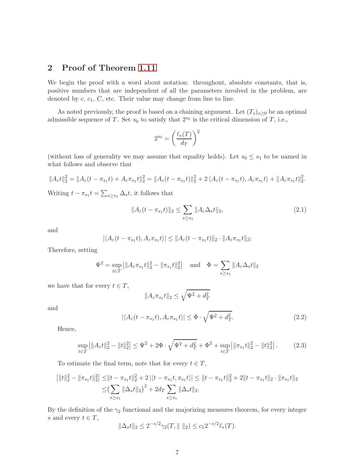# 2 Proof of Theorem [1.11](#page-3-3)

We begin the proof with a word about notation: throughout, absolute constants, that is, positive numbers that are independent of all the parameters involved in the problem, are denoted by  $c, c_1, C$ , etc. Their value may change from line to line.

As noted previously, the proof is based on a chaining argument. Let  $(T_s)_{s\geq 0}$  be an optimal admissible sequence of T. Set  $s_0$  to satisfy that  $2^{s_0}$  is the critical dimension of T, i.e.,

$$
2^{s_0} = \left(\frac{\ell_*(T)}{d_T}\right)^2
$$

(without loss of generality we may assume that equality holds). Let  $s_0 \leq s_1$  to be named in what follows and observe that

$$
||A_{\varepsilon}t||_2^2 = ||A_{\varepsilon}(t-\pi_{s_1}t) + A_{\varepsilon}\pi_{s_1}t||_2^2 = ||A_{\varepsilon}(t-\pi_{s_1}t)||_2^2 + 2\langle A_{\varepsilon}(t-\pi_{s_1}t), A_{\varepsilon}\pi_{s_1}t \rangle + ||A_{\varepsilon}\pi_{s_1}t||_2^2.
$$

Writing  $t - \pi_{s_1} t = \sum_{s \geq s_1} \Delta_s t$ , it follows that

$$
||A_{\varepsilon}(t - \pi_{s_1}t)||_2 \le \sum_{s \ge s_1} ||A_{\varepsilon}\Delta_s t||_2,
$$
\n(2.1)

and

$$
|\langle A_{\varepsilon}(t-\pi_{s_1}t), A_{\varepsilon}\pi_{s_1}t \rangle| \leq \|A_{\varepsilon}(t-\pi_{s_1}t)\|_2 \cdot \|A_{\varepsilon}\pi_{s_1}t\|_2;
$$

Therefore, setting

$$
\Psi^2 = \sup_{t \in T} ||A_{\varepsilon} \pi_{s_1} t||_2^2 - \|\pi_{s_1} t\|_2^2 \quad \text{and} \quad \Phi = \sum_{s \ge s_1} ||A_{\varepsilon} \Delta_s t||_2
$$

we have that for every  $t \in T$ ,

$$
||A_{\varepsilon}\pi_{s_1}t||_2 \le \sqrt{\Psi^2 + d_T^2}
$$

and

$$
|\langle A_{\varepsilon}(t-\pi_{s_1}t), A_{\varepsilon}\pi_{s_1}t \rangle| \leq \Phi \cdot \sqrt{\Psi^2 + d_T^2}.
$$
 (2.2)

Hence,

<span id="page-6-0"></span>
$$
\sup_{t \in T} \left| \|A_{\varepsilon}t\|_{2}^{2} - \|t\|_{2}^{2} \right| \leq \Psi^{2} + 2\Phi \cdot \sqrt{\Psi^{2} + d_{T}^{2}} + \Phi^{2} + \sup_{t \in T} \left| \|\pi_{s_{1}}t\|_{2}^{2} - \|t\|_{2}^{2} \right|.
$$
 (2.3)

To estimate the final term, note that for every  $t \in T$ ,

$$
\begin{aligned} \left| \|t\|_{2}^{2} - \|\pi_{s_{1}}t\|_{2}^{2} \right| &\leq \left\| t - \pi_{s_{1}}t\|_{2}^{2} + 2\left| \langle t - \pi_{s_{1}}t, \pi_{s_{1}}t \rangle \right| \leq \left\| t - \pi_{s_{1}}t\right\|_{2}^{2} + 2\|t - \pi_{s_{1}}t\|_{2} \cdot \|\pi_{s_{1}}t\|_{2} \\ &\leq \left( \sum_{s \geq s_{1}} \|\Delta_{s}t\|_{2} \right)^{2} + 2d_{T} \sum_{s \geq s_{1}} \|\Delta_{s}t\|_{2}. \end{aligned}
$$

By the definition of the  $\gamma_2$  functional and the majorizing measures theorem, for every integer s and every  $t \in T$ ,

$$
\|\Delta_s t\|_2 \le 2^{-s/2} \gamma_2(T, \|\ \|_2) \le c_1 2^{-s/2} \ell_*(T).
$$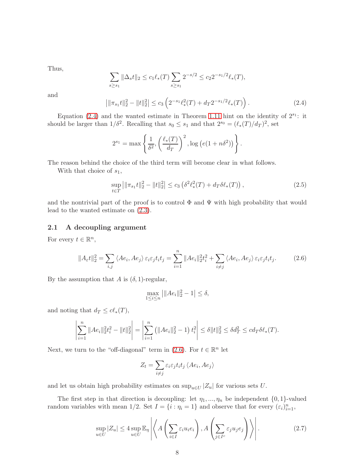Thus,

$$
\sum_{s\geq s_1} \|\Delta_s t\|_2 \leq c_1 \ell_*(T) \sum_{s\geq s_1} 2^{-s/2} \leq c_2 2^{-s_1/2} \ell_*(T),
$$

and

<span id="page-7-0"></span>
$$
\left| \|\pi_{s_1}t\|_2^2 - \|t\|_2^2 \right| \le c_3 \left( 2^{-s_1} \ell_*^2(T) + d_T 2^{-s_1/2} \ell_*(T) \right). \tag{2.4}
$$

Equation  $(2.4)$  and the wanted estimate in Theorem [1.11](#page-3-3) hint on the identity of  $2^{s_1}$ : it should be larger than  $1/\delta^2$ . Recalling that  $s_0 \leq s_1$  and that  $2^{s_0} = (\ell_*(T)/d_T)^2$ , set

$$
2^{s_1} = \max\left\{\frac{1}{\delta^2}, \left(\frac{\ell_*(T)}{d_T}\right)^2, \log\left(e(1+n\delta^2)\right)\right\}.
$$

The reason behind the choice of the third term will become clear in what follows.

With that choice of  $s_1$ ,

$$
\sup_{t \in T} \left| \|\pi_{s_1}t\|_2^2 - \|t\|_2^2 \right| \le c_3 \left( \delta^2 \ell_*^2(T) + d_T \delta \ell_*(T) \right),\tag{2.5}
$$

and the nontrivial part of the proof is to control  $\Phi$  and  $\Psi$  with high probability that would lead to the wanted estimate on [\(2.3\)](#page-6-0).

#### 2.1 A decoupling argument

For every  $t \in \mathbb{R}^n$ ,

<span id="page-7-1"></span>
$$
||A_{\varepsilon}t||_2^2 = \sum_{i,j} \langle Ae_i, Ae_j \rangle \varepsilon_i \varepsilon_j t_i t_j = \sum_{i=1}^n ||Ae_i||_2^2 t_i^2 + \sum_{i \neq j} \langle Ae_i, Ae_j \rangle \varepsilon_i \varepsilon_j t_i t_j.
$$
 (2.6)

By the assumption that A is  $(\delta, 1)$ -regular,

$$
\max_{1 \le i \le n} \left| \| A e_i \|_2^2 - 1 \right| \le \delta,
$$

and noting that  $d_T \leq c \ell_*(T)$ ,

$$
\left|\sum_{i=1}^n \|Ae_i\|_2^2 t_i^2 - \|t\|_2^2\right| = \left|\sum_{i=1}^n \left(\|Ae_i\|_2^2 - 1\right) t_i^2\right| \le \delta \|t\|_2^2 \le \delta d_T^2 \le c d_T \delta \ell_*(T).
$$

Next, we turn to the "off-diagonal" term in [\(2.6\)](#page-7-1). For  $t \in \mathbb{R}^n$  let

$$
Z_t = \sum_{i \neq j} \varepsilon_i \varepsilon_j t_i t_j \langle Ae_i, Ae_j \rangle
$$

and let us obtain high probability estimates on  $\sup_{u\in U} |Z_u|$  for various sets U.

The first step in that direction is decoupling: let  $\eta_1, ..., \eta_n$  be independent  $\{0, 1\}$ -valued random variables with mean 1/2. Set  $I = \{i : \eta_i = 1\}$  and observe that for every  $(\varepsilon_i)_{i=1}^n$ ,

<span id="page-7-2"></span>
$$
\sup_{u \in U} |Z_u| \le 4 \sup_{u \in U} \mathbb{E}_{\eta} \left| \left\langle A \left( \sum_{i \in I} \varepsilon_i u_i e_i \right), A \left( \sum_{j \in I^c} \varepsilon_j u_j e_j \right) \right\rangle \right|.
$$
 (2.7)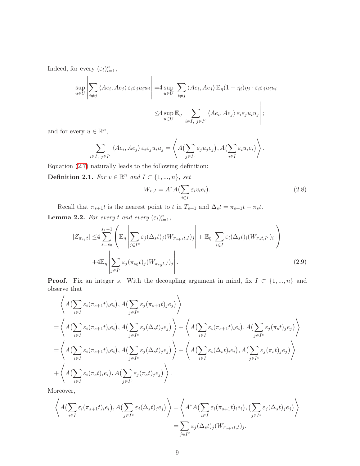Indeed, for every  $(\varepsilon_i)_{i=1}^n$ ,

$$
\sup_{u \in U} \left| \sum_{i \neq j} \left\langle Ae_i, Ae_j \right\rangle \varepsilon_i \varepsilon_j u_i u_j \right| = 4 \sup_{u \in U} \left| \sum_{i \neq j} \left\langle Ae_i, Ae_j \right\rangle \mathbb{E}_{\eta} (1 - \eta_i) \eta_j \cdot \varepsilon_i \varepsilon_j u_i u_i \right|
$$
  

$$
\leq 4 \sup_{u \in U} \mathbb{E}_{\eta} \left| \sum_{i \in I, j \in I^c} \left\langle Ae_i, Ae_j \right\rangle \varepsilon_i \varepsilon_j u_i u_j \right|;
$$

and for every  $u \in \mathbb{R}^n$ ,

$$
\sum_{i \in I, j \in I^c} \langle Ae_i, Ae_j \rangle \varepsilon_i \varepsilon_j u_i u_j = \left\langle A \Big( \sum_{j \in I^c} \varepsilon_j u_j e_j \Big), A \Big( \sum_{i \in I} \varepsilon_i u_i e_i \Big) \right\rangle.
$$

Equation [\(2.7\)](#page-7-2) naturally leads to the following definition:

Definition 2.1. *For*  $v \in \mathbb{R}^n$  and  $I \subset \{1, ..., n\}$ *, set* 

<span id="page-8-2"></span><span id="page-8-1"></span>
$$
W_{v,I} = A^* A \left( \sum_{i \in I} \varepsilon_i v_i e_i \right).
$$
 (2.8)

Recall that  $\pi_{s+1}t$  is the nearest point to t in  $T_{s+1}$  and  $\Delta_s t = \pi_{s+1}t - \pi_st$ .

<span id="page-8-0"></span>**Lemma 2.2.** For every t and every  $(\varepsilon_i)_{i=1}^n$ ,

$$
|Z_{\pi_{s_1}t}| \leq 4 \sum_{s=s_0}^{s_1-1} \left( \mathbb{E}_{\eta} \left| \sum_{j \in I^c} \varepsilon_j (\Delta_s t)_j (W_{\pi_{s+1}t,I})_j \right| + \mathbb{E}_{\eta} \left| \sum_{i \in I} \varepsilon_i (\Delta_s t)_i (W_{\pi_s t,I^c})_i \right| \right) + 4 \mathbb{E}_{\eta} \left| \sum_{j \in I^c} \varepsilon_j (\pi_{s_0}t)_j (W_{\pi_{s_0}t,I})_j \right|.
$$
\n(2.9)

**Proof.** Fix an integer s. With the decoupling argument in mind, fix  $I \subset \{1, ..., n\}$  and observe that

$$
\left\langle A\left(\sum_{i\in I} \varepsilon_i(\pi_{s+1}t)_{iei}\right), A\left(\sum_{j\in I^c} \varepsilon_j(\pi_{s+1}t)_{jej}\right) \right\rangle
$$
\n
$$
= \left\langle A\left(\sum_{i\in I} \varepsilon_i(\pi_{s+1}t)_{iei}\right), A\left(\sum_{j\in I^c} \varepsilon_j(\Delta_s t)_{jej}\right) \right\rangle + \left\langle A\left(\sum_{i\in I} \varepsilon_i(\pi_{s+1}t)_{iei}\right), A\left(\sum_{j\in I^c} \varepsilon_j(\pi_s t)_{jej}\right) \right\rangle
$$
\n
$$
= \left\langle A\left(\sum_{i\in I} \varepsilon_i(\pi_{s+1}t)_{iei}\right), A\left(\sum_{j\in I^c} \varepsilon_j(\Delta_s t)_{jej}\right) \right\rangle + \left\langle A\left(\sum_{i\in I} \varepsilon_i(\Delta_s t)_{iei}\right), A\left(\sum_{j\in I^c} \varepsilon_j(\pi_s t)_{jej}\right) \right\rangle
$$
\n
$$
+ \left\langle A\left(\sum_{i\in I} \varepsilon_i(\pi_s t)_{iei}\right), A\left(\sum_{j\in I^c} \varepsilon_j(\pi_s t)_{jej}\right) \right\rangle.
$$

Moreover,

$$
\left\langle A\left(\sum_{i\in I} \varepsilon_i(\pi_{s+1}t)_i e_i\right), A\left(\sum_{j\in I^c} \varepsilon_j(\Delta_s t)_j e_j\right) \right\rangle = \left\langle A^* A\left(\sum_{i\in I} \varepsilon_i(\pi_{s+1}t)_i e_i\right), \left(\sum_{j\in I^c} \varepsilon_j(\Delta_s t)_j e_j\right) \right\rangle
$$

$$
= \sum_{j\in I^c} \varepsilon_j(\Delta_s t)_j (W_{\pi_{s+1}t, I})_j.
$$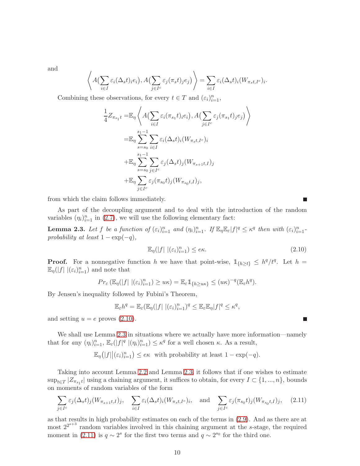and

$$
\left\langle A\left(\sum_{i\in I}\varepsilon_i(\Delta_s t)_i e_i\right), A\left(\sum_{j\in I^c}\varepsilon_j(\pi_s t)_j e_j\right)\right\rangle = \sum_{i\in I}\varepsilon_i(\Delta_s t)_i (W_{\pi_s t, I^c})_i.
$$

Combining these observations, for every  $t \in T$  and  $(\varepsilon_i)_{i=1}^n$ ,

$$
\frac{1}{4}Z_{\pi_{s_1}t} = \mathbb{E}_{\eta} \left\langle A\left(\sum_{i \in I} \varepsilon_i(\pi_{s_1}t)_i e_i\right), A\left(\sum_{j \in I^c} \varepsilon_j(\pi_{s_1}t)_j e_j\right) \right\rangle
$$
\n
$$
= \mathbb{E}_{\eta} \sum_{s=s_0}^{s_1-1} \sum_{i \in I} \varepsilon_i(\Delta_s t)_i (W_{\pi_s t, I^c})_i
$$
\n
$$
+ \mathbb{E}_{\eta} \sum_{s=s_0}^{s_1-1} \sum_{j \in I^c} \varepsilon_j(\Delta_s t)_j (W_{\pi_{s+1}t, I})_j
$$
\n
$$
+ \mathbb{E}_{\eta} \sum_{j \in I^c} \varepsilon_j(\pi_{s_0}t)_j (W_{\pi_{s_0}t, I})_j,
$$

from which the claim follows immediately.

As part of the decoupling argument and to deal with the introduction of the random variables  $(\eta_i)_{i=1}^n$  in [\(2.7\)](#page-7-2), we will use the following elementary fact:

<span id="page-9-1"></span>**Lemma 2.3.** Let f be a function of  $(\varepsilon_i)_{i=1}^n$  and  $(\eta_i)_{i=1}^n$ . If  $\mathbb{E}_{\eta} \mathbb{E}_{\varepsilon} |f|^q \leq \kappa^q$  then with  $(\varepsilon_i)_{i=1}^n$ . *probability at least*  $1 - \exp(-q)$ *,* 

<span id="page-9-0"></span>
$$
\mathbb{E}_{\eta}(|f| \, |(\varepsilon_i)_{i=1}^n) \le e\kappa. \tag{2.10}
$$

**Proof.** For a nonnegative function h we have that point-wise,  $\mathbb{1}_{\{h\geq t\}} \leq h^q/t^q$ . Let  $h =$  $\mathbb{E}_{\eta}(|f| \, |(\varepsilon_i)_{i=1}^n)$  and note that

$$
Pr_{\varepsilon}(\mathbb{E}_{\eta}(|f| \, |(\varepsilon_i)_{i=1}^n) \geq u\kappa) = \mathbb{E}_{\varepsilon} \mathbb{1}_{\{h \geq u\kappa\}} \leq (u\kappa)^{-q}(\mathbb{E}_{\varepsilon}h^q).
$$

By Jensen's inequality followed by Fubini's Theorem,

$$
\mathbb{E}_{\varepsilon}h^{q} = \mathbb{E}_{\varepsilon}(\mathbb{E}_{\eta}(|f| \, |(\varepsilon_{i})_{i=1}^{n})^{q} \leq \mathbb{E}_{\varepsilon}\mathbb{E}_{\eta}|f|^{q} \leq \kappa^{q},
$$

and setting  $u = e$  proves  $(2.10)$ .

We shall use Lemma [2.3](#page-9-1) in situations where we actually have more information—namely that for *a*ny  $(\eta_i)_{i=1}^n$ ,  $\mathbb{E}_{\varepsilon}(|f|^q |(\eta_i)_{i=1}^n) \leq \kappa^q$  for a well chosen  $\kappa$ . As a result,

 $\mathbb{E}_{\eta}\big(|f|\big|(\varepsilon_i)_{i=1}^n\big) \leq e\kappa$  with probability at least  $1 - \exp(-q)$ .

Taking into account Lemma [2.2](#page-8-0) and Lemma [2.3,](#page-9-1) it follows that if one wishes to estimate  $\sup_{t\in T} |Z_{\pi_{s_1}t}|$  using a chaining argument, it suffices to obtain, for every  $I \subset \{1,...,n\}$ , bounds on moments of random variables of the form

<span id="page-9-2"></span>
$$
\sum_{j\in I^c} \varepsilon_j(\Delta_s t)_j(W_{\pi_{s+1}t,I})_j, \quad \sum_{i\in I} \varepsilon_i(\Delta_s t)_i(W_{\pi_s t,I^c})_i, \quad \text{and} \quad \sum_{j\in I^c} \varepsilon_j(\pi_{s_0}t)_j(W_{\pi_{s_0}t,I})_j, \quad (2.11)
$$

as that results in high probability estimates on each of the terms in [\(2.9\)](#page-8-1). And as there are at most  $2^{2^{s+3}}$  random variables involved in this chaining argument at the s-stage, the required moment in [\(2.11\)](#page-9-2) is  $q \sim 2^s$  for the first two terms and  $q \sim 2^{s_0}$  for the third one.

П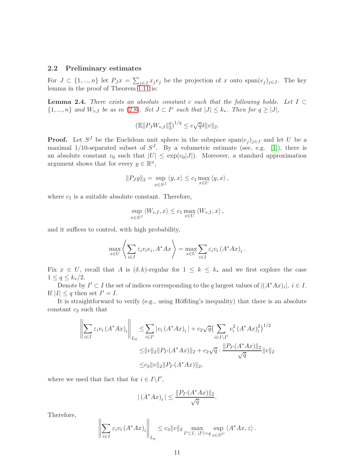#### 2.2 Preliminary estimates

For  $J \subset \{1, ..., n\}$  let  $P_J x = \sum_{j \in J} x_j e_j$  be the projection of x onto  $\text{span}(e_j)_{j \in J}$ . The key lemma in the proof of Theorem [1.11](#page-3-3) is:

<span id="page-10-0"></span>Lemma 2.4. *There exists an absolute constant* c *such that the following holds. Let* I ⊂  $\{1, ..., n\}$  and  $W_{v,I}$  be as in [\(2.8\)](#page-8-2)*. Set*  $J \subset I^c$  such that  $|J| \leq k_*$ *. Then for*  $q \geq |J|$ *,* 

$$
(\mathbb{E} || P_J W_{v,I} ||_2^q)^{1/q} \le c\sqrt{q}\delta ||v||_2.
$$

**Proof.** Let  $S^J$  be the Euclidean unit sphere in the subspace span $(e_j)_{j\in J}$  and let U be a maximal 1/10-separated subset of  $S<sup>J</sup>$ . By a volumetric estimate (see, e.g. [\[1\]](#page-18-3)), there is an absolute constant  $c_0$  such that  $|U| \leq \exp(c_0|J|)$ . Moreover, a standard approximation argument shows that for every  $y \in \mathbb{R}^n$ ,

$$
||P_Jy||_2 = \sup_{x \in S^J} \langle y, x \rangle \le c_1 \max_{x \in U} \langle y, x \rangle,
$$

where  $c_1$  is a suitable absolute constant. Therefore,

$$
\sup_{x \in S^J} \langle W_{v,I}, x \rangle \le c_1 \max_{x \in U} \langle W_{v,I}, x \rangle,
$$

and it suffices to control, with high probability,

$$
\max_{x \in U} \left\langle \sum_{i \in I} \varepsilon_i v_i e_i, A^* A x \right\rangle = \max_{x \in U} \sum_{i \in I} \varepsilon_i v_i (A^* A x)_i.
$$

Fix  $x \in U$ , recall that A is  $(\delta, k)$ -regular for  $1 \leq k \leq k_*$  and we first explore the case  $1 \le q \le k_*/2$ .

Denote by  $I' \subset I$  the set of indices corresponding to the q largest values of  $|(A^*Ax)_i|, i \in I$ . If  $|I| \leq q$  then set  $I' = I$ .

It is straightforward to verify (e.g., using Höffding's inequality) that there is an absolute constant  $c_2$  such that

$$
\left\| \sum_{i \in I} \varepsilon_i v_i (A^* A x)_i \right\|_{L_q} \leq \sum_{i \in I'} |v_i (A^* A x)_i| + c_2 \sqrt{q} \left( \sum_{i \in I \setminus I'} v_i^2 (A^* A x)_i^2 \right)^{1/2} \n\leq ||v||_2 ||P_{I'} (A^* A x)||_2 + c_2 \sqrt{q} \cdot \frac{||P_{I'} (A^* A x)||_2}{\sqrt{q}} ||v||_2 \n\leq c_3 ||v||_2 ||P_{I'} (A^* A x)||_2,
$$

where we used that fact that for  $i \in I \backslash I'$ ,

 $\ddot{\phantom{a}}$ 

$$
|(A^*Ax)_i| \le \frac{\|P_{I'}(A^*Ax)\|_2}{\sqrt{q}}.
$$

Therefore,

$$
\left\|\sum_{i\in I}\varepsilon_{i}v_{i}\left(A^{*}Ax\right)_{i}\right\|_{L_{q}}\leq c_{3}\|v\|_{2}\max_{I'\subset I,\ |I'|=q}\sup_{z\in S^{I'}}\left\langle A^{*}Ax,z\right\rangle.
$$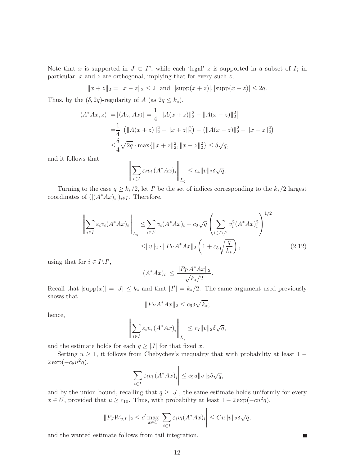Note that x is supported in  $J \subset I^c$ , while each 'legal' z is supported in a subset of I; in particular,  $x$  and  $z$  are orthogonal, implying that for every such  $z$ ,

 $||x + z||_2 = ||x - z||_2 \le 2$  and  $|\text{supp}(x + z)|, |\text{supp}(x - z)| \le 2q$ .

Thus, by the  $(\delta, 2q)$ -regularity of A (as  $2q \leq k_*$ ),

$$
|\langle A^*Ax, z \rangle| = |\langle Az, Ax \rangle| = \frac{1}{4} |||A(x+z)||_2^2 - ||A(x-z)||_2^2|
$$
  
=  $\frac{1}{4} | (||A(x+z)||_2^2 - ||x+z||_2^2) - (||A(x-z)||_2^2 - ||x-z||_2^2) |$   
 $\leq \frac{\delta}{4} \sqrt{2q} \cdot \max{||x+z||_2^2, ||x-z||_2^2} \leq \delta \sqrt{q},$ 

and it follows that

$$
\left\| \sum_{i \in I} \varepsilon_i v_i \left( A^* A x \right)_i \right\|_{L_q} \le c_4 \| v \|_2 \delta \sqrt{q}.
$$

Turning to the case  $q \geq k_*/2$ , let I' be the set of indices corresponding to the  $k_*/2$  largest coordinates of  $(|(A^*Ax)_i|)_{i\in I}$ . Therefore,

$$
\left\| \sum_{i \in I} \varepsilon_i v_i (A^* A x)_i \right\|_{L_q} \leq \sum_{i \in I'} v_i (A^* A x)_i + c_2 \sqrt{q} \left( \sum_{i \in I \setminus I'} v_i^2 (A^* A x)_i^2 \right)^{1/2} \leq \|v\|_2 \cdot \|P_{I'} A^* A x\|_2 \left( 1 + c_5 \sqrt{\frac{q}{k_*}} \right), \tag{2.12}
$$

using that for  $i \in I \backslash I'$ ,

$$
|(A^*Ax)_i| \le \frac{\|P_{I'}A^*Ax\|_2}{\sqrt{k_*/2}}.
$$

Recall that  $|\text{supp}(x)| = |J| \le k_*$  and that  $|I'| = k_*/2$ . The same argument used previously shows that

$$
||P_{I'}A^*Ax||_2 \le c_6\delta\sqrt{k_*};
$$

hence,

$$
\left\| \sum_{i \in I} \varepsilon_i v_i \left( A^* A x \right)_i \right\|_{L_q} \le c_7 \| v \|_2 \delta \sqrt{q},
$$

and the estimate holds for each  $q \geq |J|$  for that fixed x.

Setting  $u \geq 1$ , it follows from Chebychev's inequality that with probability at least  $1 2 \exp(-c_8 u^2 q),$ 

$$
\left| \sum_{i \in I} \varepsilon_i v_i \left( A^* A x \right)_i \right| \le c_9 u \| v \|_2 \delta \sqrt{q},
$$

and by the union bound, recalling that  $q \geq |J|$ , the same estimate holds uniformly for every  $x \in U$ , provided that  $u \ge c_{10}$ . Thus, with probability at least  $1 - 2\exp(-cu^2q)$ ,

$$
||P_J W_{v,I}||_2 \le c' \max_{x \in U} \left| \sum_{i \in I} \varepsilon_i v_i (A^* A x)_i \right| \le C u ||v||_2 \delta \sqrt{q},
$$

П

and the wanted estimate follows from tail integration.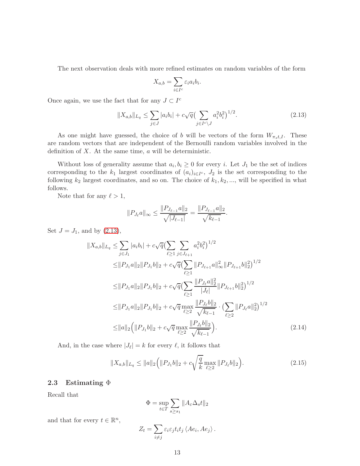The next observation deals with more refined estimates on random variables of the form

$$
X_{a,b} = \sum_{i \in I^c} \varepsilon_i a_i b_i.
$$

Once again, we use the fact that for any  $J\subset I^c$ 

<span id="page-12-0"></span>
$$
||X_{a,b}||_{L_q} \le \sum_{j \in J} |a_i b_i| + c\sqrt{q} \left(\sum_{j \in I^c \setminus J} a_i^2 b_i^2\right)^{1/2}.
$$
 (2.13)

As one might have guessed, the choice of b will be vectors of the form  $W_{\pi_s t, I}$ . These are random vectors that are independent of the Bernoulli random variables involved in the definition of  $X$ . At the same time,  $\alpha$  will be deterministic.

Without loss of generality assume that  $a_i, b_i \geq 0$  for every i. Let  $J_1$  be the set of indices corresponding to the  $k_1$  largest coordinates of  $(a_i)_{i\in I^c}$ ,  $J_2$  is the set corresponding to the following  $k_2$  largest coordinates, and so on. The choice of  $k_1, k_2, \ldots$ , will be specified in what follows.

Note that for any  $\ell > 1$ ,

$$
||P_{J_{\ell}}a||_{\infty} \le \frac{||P_{J_{\ell-1}}a||_2}{\sqrt{|J_{\ell-1}|}} = \frac{||P_{J_{\ell-1}}a||_2}{\sqrt{k_{\ell-1}}}.
$$

Set  $J = J_1$ , and by  $(2.13)$ ,

$$
||X_{a,b}||_{L_q} \leq \sum_{j \in J_1} |a_i b_i| + c\sqrt{q} \left(\sum_{\ell \geq 1} \sum_{j \in J_{\ell+1}} a_i^2 b_i^2\right)^{1/2}
$$
  
\n
$$
\leq ||P_{J_1}a||_2 ||P_{J_1}b||_2 + c\sqrt{q} \left(\sum_{\ell \geq 1} ||P_{J_{\ell+1}}a||_{\infty}^2 ||P_{J_{\ell+1}}b||_2^2\right)^{1/2}
$$
  
\n
$$
\leq ||P_{J_1}a||_2 ||P_{J_1}b||_2 + c\sqrt{q} \left(\sum_{\ell \geq 1} \frac{||P_{J_\ell}a||_2^2}{|J_\ell|} ||P_{J_{\ell+1}}b||_2^2\right)^{1/2}
$$
  
\n
$$
\leq ||P_{J_1}a||_2 ||P_{J_1}b||_2 + c\sqrt{q} \max_{\ell \geq 2} \frac{||P_{J_\ell}b||_2}{\sqrt{k_{\ell-1}}} \cdot \left(\sum_{\ell \geq 2} ||P_{J_\ell}a||_2^2\right)^{1/2}
$$
  
\n
$$
\leq ||a||_2 \left(||P_{J_1}b||_2 + c\sqrt{q} \max_{\ell \geq 2} \frac{||P_{J_\ell}b||_2}{\sqrt{k_{\ell-1}}}\right).
$$
 (2.14)

And, in the case where  $|J_{\ell}| = k$  for every  $\ell$ , it follows that

<span id="page-12-1"></span>
$$
||X_{a,b}||_{L_q} \le ||a||_2 \Big( ||P_{J_1}b||_2 + c\sqrt{\frac{q}{k}} \max_{\ell \ge 2} ||P_{J_\ell}b||_2 \Big). \tag{2.15}
$$

### 2.3 Estimating  $\Phi$

Recall that

<span id="page-12-2"></span>
$$
\Phi = \sup_{t \in T} \sum_{s \ge s_1} \|A_{\varepsilon} \Delta_s t\|_2
$$

and that for every  $t \in \mathbb{R}^n$ ,

$$
Z_t = \sum_{i \neq j} \varepsilon_i \varepsilon_j t_i t_j \langle A e_i, A e_j \rangle.
$$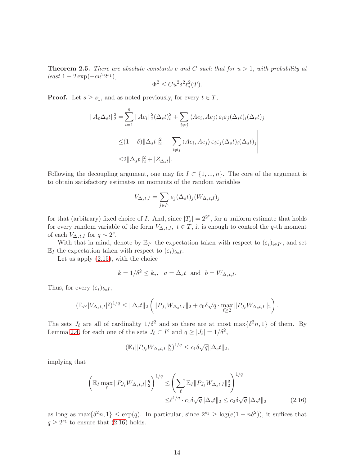Theorem 2.5. *There are absolute constants* c *and* C *such that for* u > 1*, with probability at*  $least\ 1-2\exp(-cu^22^{s_1}),$ 

$$
\Phi^2 \leq Cu^2 \delta^2 \ell_*^2(T).
$$

**Proof.** Let  $s \geq s_1$ , and as noted previously, for every  $t \in T$ ,

$$
||A_{\varepsilon}\Delta_{s}t||_{2}^{2} = \sum_{i=1}^{n} ||Ae_{i}||_{2}^{2}(\Delta_{s}t)_{i}^{2} + \sum_{i\neq j} \langle Ae_{i}, Ae_{j}\rangle \varepsilon_{i}\varepsilon_{j}(\Delta_{s}t)_{i}(\Delta_{s}t)_{j}
$$
  

$$
\leq (1+\delta)||\Delta_{s}t||_{2}^{2} + \left|\sum_{i\neq j} \langle Ae_{i}, Ae_{j}\rangle \varepsilon_{i}\varepsilon_{j}(\Delta_{s}t)_{i}(\Delta_{s}t)_{j}\right|
$$
  

$$
\leq 2||\Delta_{s}t||_{2}^{2} + |Z_{\Delta_{s}t}|.
$$

Following the decoupling argument, one may fix  $I \subset \{1, ..., n\}$ . The core of the argument is to obtain satisfactory estimates on moments of the random variables

$$
V_{\Delta_s t, I} = \sum_{j \in I^c} \varepsilon_j (\Delta_s t)_j (W_{\Delta_s t, I})_j
$$

for that (arbitrary) fixed choice of I. And, since  $|T_s| = 2^{2^s}$ , for a uniform estimate that holds for every random variable of the form  $V_{\Delta_s t, I}$ ,  $t \in T$ , it is enough to control the q-th moment of each  $V_{\Delta_s t, I}$  for  $q \sim 2^s$ .

With that in mind, denote by  $\mathbb{E}_{I^c}$  the expectation taken with respect to  $(\varepsilon_i)_{i \in I^c}$ , and set  $\mathbb{E}_I$  the expectation taken with respect to  $(\varepsilon_i)_{i\in I}$ .

Let us apply [\(2.15\)](#page-12-1), with the choice

$$
k = 1/\delta^2 \le k_*, \quad a = \Delta_s t \quad \text{and} \quad b = W_{\Delta_s t, I}.
$$

Thus, for every  $(\varepsilon_i)_{i\in I}$ ,

$$
\left(\mathbb{E}_{I^c}|V_{\Delta_s t, I}|^q\right)^{1/q} \leq \|\Delta_s t\|_2 \left( \|P_{J_1} W_{\Delta_s t, I}\|_2 + c_0 \delta \sqrt{q} \cdot \max_{\ell \geq 2} \|P_{J_\ell} W_{\Delta_s t, I}\|_2 \right).
$$

The sets  $J_{\ell}$  are all of cardinality  $1/\delta^2$  and so there are at most max $\{\delta^2 n, 1\}$  of them. By Lemma [2.4,](#page-10-0) for each one of the sets  $J_{\ell} \subset I^c$  and  $q \ge |J_{\ell}| = 1/\delta^2$ ,

<span id="page-13-0"></span>
$$
(\mathbb{E}_{I} \| P_{J_{\ell}} W_{\Delta_{s} t, I} \|_{2}^{q})^{1/q} \leq c_{1} \delta \sqrt{q} \|\Delta_{s} t\|_{2},
$$

implying that

$$
\left(\mathbb{E}_{I} \max_{\ell} \|P_{J_{\ell}} W_{\Delta_{s} t, I}\|_{2}^{q}\right)^{1/q} \leq \left(\sum_{\ell} \mathbb{E}_{I} \|P_{J_{\ell}} W_{\Delta_{s} t, I}\|_{2}^{q}\right)^{1/q} \leq \frac{\epsilon^{1/q} \cdot c_{1} \delta \sqrt{q} \|\Delta_{s} t\|_{2} \leq c_{2} \delta \sqrt{q} \|\Delta_{s} t\|_{2}}{\epsilon^{1/q} \cdot c_{1} \delta \sqrt{q} \|\Delta_{s} t\|_{2} \leq c_{2} \delta \sqrt{q} \|\Delta_{s} t\|_{2}} \tag{2.16}
$$

as long as  $\max\{\delta^2 n, 1\} \leq \exp(q)$ . In particular, since  $2^{s_1} \geq \log(e(1+n\delta^2))$ , it suffices that  $q \geq 2^{s_1}$  to ensure that  $(2.16)$  holds.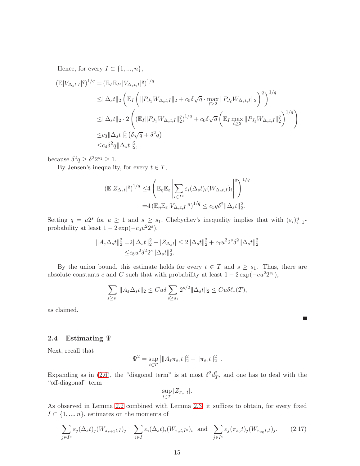Hence, for every  $I \subset \{1, ..., n\},\$ 

$$
\begin{split} (\mathbb{E}|V_{\Delta_{s}t,I}|^{q})^{1/q} &= (\mathbb{E}_{I}\mathbb{E}_{I^{c}}|V_{\Delta_{s}t,I}|^{q})^{1/q} \\ &\leq \|\Delta_{s}t\|_{2} \left( \mathbb{E}_{I} \left( \|P_{J_{1}}W_{\Delta_{s}t,I}\|_{2} + c_{0}\delta\sqrt{q} \cdot \max_{\ell \geq 2} \|P_{J_{\ell}}W_{\Delta_{s}t,I}\|_{2} \right)^{q} \right)^{1/q} \\ &\leq \|\Delta_{s}t\|_{2} \cdot 2 \left( (\mathbb{E}_{I} \|P_{J_{1}}W_{\Delta_{s}t,I}\|_{2}^{q})^{1/q} + c_{0}\delta\sqrt{q} \left( \mathbb{E}_{I} \max_{\ell \geq 2} \|P_{J_{\ell}}W_{\Delta_{s}t,I}\|_{2}^{q} \right)^{1/q} \right) \\ &\leq c_{3} \|\Delta_{s}t\|_{2}^{2} \left( \delta\sqrt{q} + \delta^{2}q \right) \\ &\leq c_{4}\delta^{2}q \|\Delta_{s}t\|_{2}^{2}, \end{split}
$$

because  $\delta^2 q \geq \delta^2 2^{s_1} \geq 1$ .

By Jensen's inequality, for every  $t \in T$ ,

$$
(\mathbb{E}|Z_{\Delta_s t}|^q)^{1/q} \leq 4 \left( \mathbb{E}_{\eta} \mathbb{E}_{\varepsilon} \left| \sum_{i \in I^c} \varepsilon_i (\Delta_s t)_i (W_{\Delta_s t, I})_i \right|^q \right)^{1/q}
$$
  
= 4 
$$
(\mathbb{E}_{\eta} \mathbb{E}_{\varepsilon} |V_{\Delta_s t, I}|^q)^{1/q} \leq c_5 q \delta^2 ||\Delta_s t||_2^2.
$$

Setting  $q = u2^s$  for  $u \ge 1$  and  $s \ge s_1$ , Chebychev's inequality implies that with  $(\varepsilon_i)_{i=1}^n$ . probability at least  $1 - 2 \exp(-c_6 u^2 2^s)$ ,

$$
||A_{\varepsilon}\Delta_{s}t||_{2}^{2} = 2||\Delta_{s}t||_{2}^{2} + |Z_{\Delta_{s}t}| \le 2||\Delta_{s}t||_{2}^{2} + c_{7}u^{2}2^{s}\delta^{2}||\Delta_{s}t||_{2}^{2}
$$
  

$$
\le c_{8}u^{2}\delta^{2}2^{s}||\Delta_{s}t||_{2}^{2}.
$$

By the union bound, this estimate holds for every  $t \in T$  and  $s \geq s_1$ . Thus, there are absolute constants c and C such that with probability at least  $1 - 2\exp(-cu^2 2^{s_1}),$ 

$$
\sum_{s\geq s_1} \|A_{\varepsilon} \Delta_s t\|_2 \leq C u \delta \sum_{s\geq s_1} 2^{s/2} \|\Delta_s t\|_2 \leq C u \delta \ell_*(T),
$$

П

as claimed.

#### 2.4 Estimating  $\Psi$

Next, recall that

$$
\Psi^2 = \sup_{t \in T} ||A_{\varepsilon} \pi_{s_1} t||_2^2 - ||\pi_{s_1} t||_2^2|.
$$

Expanding as in [\(2.6\)](#page-7-1), the "diagonal term" is at most  $\delta^2 d_T^2$ , and one has to deal with the "off-diagonal" term

$$
\sup_{t \in T} |Z_{\pi_{s_1}t}|.
$$

As observed in Lemma [2.2](#page-8-0) combined with Lemma [2.3,](#page-9-1) it suffices to obtain, for every fixed  $I\subset \{1,...,n\},$  estimates on the moments of

$$
\sum_{j \in I^c} \varepsilon_j(\Delta_s t)_j (W_{\pi_{s+1}t, I})_j \quad \sum_{i \in I} \varepsilon_i(\Delta_s t)_i (W_{\pi_s t, I^c})_i \quad \text{and} \quad \sum_{j \in I^c} \varepsilon_j(\pi_{s_0} t)_j (W_{\pi_{s_0}t, I})_j. \tag{2.17}
$$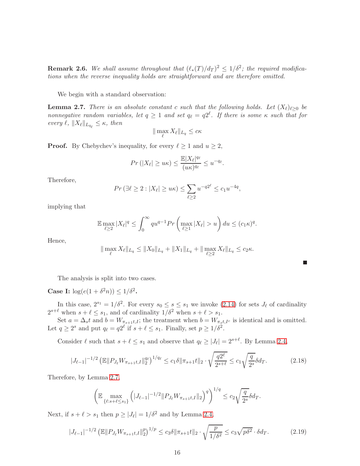**Remark 2.6.** We shall assume throughout that  $(\ell_*(T)/d_T)^2 \leq 1/\delta^2$ ; the required modifica*tions when the reverse inequality holds are straightforward and are therefore omitted.*

We begin with a standard observation:

<span id="page-15-0"></span>**Lemma 2.7.** *There is an absolute constant c such that the following holds. Let*  $(X_{\ell})_{\ell>0}$  *be nonnegative random variables, let*  $q \geq 1$  *and set*  $q_{\ell} = q2^{\ell}$ *. If there is some*  $\kappa$  *such that for every*  $\ell$ ,  $||X_{\ell}||_{L_{q_{\ell}}} \leq \kappa$ , then

$$
\|\max_{\ell} X_{\ell}\|_{L_q} \leq c\kappa
$$

**Proof.** By Chebychev's inequality, for every  $\ell \geq 1$  and  $u \geq 2$ ,

$$
Pr(|X_{\ell}| \geq u\kappa) \leq \frac{\mathbb{E}|X_{\ell}|^{q_{\ell}}}{(u\kappa)^{q_{\ell}}} \leq u^{-q_{\ell}}.
$$

Therefore,

$$
Pr\left(\exists \ell \geq 2 : |X_{\ell}| \geq u\kappa\right) \leq \sum_{\ell \geq 2} u^{-q2^{\ell}} \leq c_1 u^{-4q},
$$

implying that

$$
\mathbb{E} \max_{\ell \ge 2} |X_{\ell}|^q \le \int_0^\infty q u^{q-1} Pr\left(\max_{\ell \ge 1} |X_{\ell}| > u\right) du \le (c_1 \kappa)^q.
$$

Hence,

$$
\|\max_{\ell} X_{\ell}\|_{L_q} \le \|X_0\|_{L_q} + \|X_1\|_{L_q} + \|\max_{\ell \ge 2} X_{\ell}\|_{L_q} \le c_2 \kappa.
$$

The analysis is split into two cases.

**Case I:**  $\log(e(1+\delta^2 n)) \leq 1/\delta^2$ .

In this case,  $2^{s_1} = 1/\delta^2$ . For every  $s_0 \leq s \leq s_1$  we invoke  $(2.14)$  for sets  $J_{\ell}$  of cardinality  $2^{s+\ell}$  when  $s+\ell \leq s_1$ , and of cardinality  $1/\delta^2$  when  $s+\ell > s_1$ .

Set  $a = \Delta_s t$  and  $b = W_{\pi_{s+1}t,I}$ ; the treatment when  $b = W_{\pi_s t,I^c}$  is identical and is omitted. Let  $q \ge 2^s$  and put  $q_\ell = q2^\ell$  if  $s + \ell \le s_1$ . Finally, set  $p \ge 1/\delta^2$ .

Consider  $\ell$  such that  $s + \ell \leq s_1$  and observe that  $q_\ell \geq |J_\ell| = 2^{s+\ell}$ . By Lemma [2.4,](#page-10-0)

<span id="page-15-1"></span>
$$
|J_{\ell-1}|^{-1/2} \left( \mathbb{E} \| P_{J_{\ell}} W_{\pi_{s+1} t, I} \|_{2}^{q_{\ell}} \right)^{1/q_{\ell}} \le c_1 \delta \|\pi_{s+1} t\|_2 \cdot \sqrt{\frac{q^{2\ell}}{2^{s+\ell}}} \le c_1 \sqrt{\frac{q}{2^s}} \delta d_T.
$$
 (2.18)

Therefore, by Lemma [2.7,](#page-15-0)

$$
\left(\mathbb{E}\max_{\{\ell:s+\ell\leq s_{1}\}}\left(|J_{\ell-1}|^{-1/2}||P_{J_{\ell}}W_{\pi_{s+1}t,I}||_{2}\right)^{q}\right)^{1/q}\leq c_{2}\sqrt{\frac{q}{2^{s}}}\delta d_{T}.
$$

Next, if  $s + \ell > s_1$  then  $p \ge |J_\ell| = 1/\delta^2$  and by Lemma [2.4,](#page-10-0)

$$
|J_{\ell-1}|^{-1/2} \left( \mathbb{E} \| P_{J_{\ell}} W_{\pi_{s+1} t, I} \|_{2}^{p} \right)^{1/p} \le c_3 \delta \| \pi_{s+1} t \|_{2} \cdot \sqrt{\frac{p}{1/\delta^{2}}} \le c_3 \sqrt{p\delta^{2}} \cdot \delta d_{T}.
$$
 (2.19)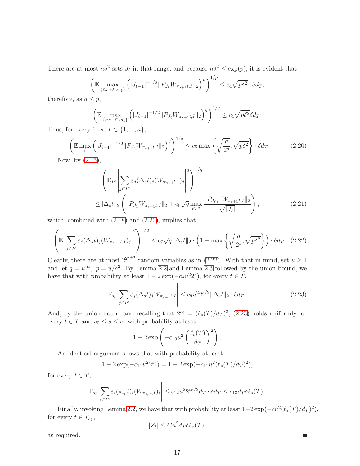There are at most  $n\delta^2$  sets  $J_{\ell}$  in that range, and because  $n\delta^2 \leq \exp(p)$ , it is evident that

$$
\left(\mathbb{E}\max_{\{\ell:s+\ell>s_1\}}\left(|J_{\ell-1}|^{-1/2}||P_{J_{\ell}}W_{\pi_{s+1}t,I}||_2\right)^p\right)^{1/p}\leq c_4\sqrt{p\delta^2}\cdot\delta d_T;
$$

therefore, as  $q \leq p$ ,

$$
\left(\mathbb{E}\max_{\{\ell:s+\ell>s_1\}}\left(|J_{\ell-1}|^{-1/2}||P_{J_{\ell}}W_{\pi_{s+1}t,I}||_2\right)^q\right)^{1/q}\leq c_4\sqrt{p\delta^2}\delta d_T;
$$

Thus, for every fixed  $I \subset \{1, ..., n\},\$ 

<span id="page-16-0"></span>
$$
\left(\mathbb{E}\max_{\ell} \left(|J_{\ell-1}|^{-1/2} \|P_{J_{\ell}} W_{\pi_{s+1}t,I}\|_{2}\right)^{q}\right)^{1/q} \leq c_{5} \max\left\{\sqrt{\frac{q}{2^{s}}}, \sqrt{p\delta^{2}}\right\} \cdot \delta d_{T}.\tag{2.20}
$$

Now, by [\(2.15\)](#page-12-1),

$$
\left(\mathbb{E}_{I^c}\left|\sum_{j\in I^c} \varepsilon_j(\Delta_s t)_j(W_{\pi_{s+1}t,I})_j\right|^q\right)^{1/q} \leq \|\Delta_s t\|_2 \left(\|P_{J_1}W_{\pi_{s+1}t,I}\|_2 + c_6\sqrt{q}\max_{\ell\geq 2}\frac{\|P_{J_{\ell+1}}W_{\pi_{s+1}t,I}\|_2}{\sqrt{|J_{\ell}|}}\right),\tag{2.21}
$$

which, combined with  $(2.18)$  and  $(2.20)$ , implies that

<span id="page-16-1"></span>
$$
\left(\mathbb{E}\left|\sum_{j\in I^c} \varepsilon_j(\Delta_s t)_j (W_{\pi_{s+1}t,I})_j\right|^q\right)^{1/q} \leq c_7\sqrt{q} \|\Delta_s t\|_2 \cdot \left(1 + \max\left\{\sqrt{\frac{q}{2^s}}, \sqrt{p\delta^2}\right\}\right) \cdot \delta d_T. \tag{2.22}
$$

Clearly, there are at most  $2^{2^{s+3}}$  random variables as in [\(2.22\)](#page-16-1). With that in mind, set  $u \ge 1$ and let  $q = u^2$ ,  $p = u/\delta^2$ . By Lemma [2.2](#page-8-0) and Lemma [2.3](#page-9-1) followed by the union bound, we have that with probability at least  $1 - 2 \exp(-c_8 u^2 2^s)$ , for every  $t \in T$ ,

<span id="page-16-2"></span>
$$
\mathbb{E}_{\eta} \left| \sum_{j \in I^c} \varepsilon_j (\Delta_s t)_j W_{\pi_{s+1} t, I} \right| \le c_9 u^2 2^{s/2} \|\Delta_s t\|_2 \cdot \delta d_T. \tag{2.23}
$$

П

And, by the union bound and recalling that  $2^{s_0} = (\ell_*(T)/d_T)^2$ , [\(2.23\)](#page-16-2) holds uniformly for every  $t \in T$  and  $s_0 \leq s \leq s_1$  with probability at least

$$
1 - 2 \exp\left(-c_{10}u^2 \left(\frac{\ell_*(T)}{d_T}\right)^2\right).
$$

An identical argument shows that with probability at least

$$
1 - 2\exp(-c_{11}u^{2}2^{s_{0}}) = 1 - 2\exp(-c_{11}u^{2}(\ell_{*}(T)/d_{T})^{2}),
$$

for every  $t \in T$ ,

$$
\mathbb{E}_{\eta} \left| \sum_{i \in I^c} \varepsilon_i (\pi_{s_0} t)_i (W_{\pi_{s_0} t, I})_i \right| \leq c_{12} u^2 2^{s_0/2} d_T \cdot \delta d_T \leq c_{13} d_T \delta \ell_*(T).
$$

Finally, invoking Lemma [2.2,](#page-8-0) we have that with probability at least  $1-2\exp(-cu^2(\ell_*(T)/d_T)^2)$ , for every  $t \in T_{s_1}$ ,

$$
|Z_t| \leq Cu^2 d_T \delta \ell_*(T),
$$

as required.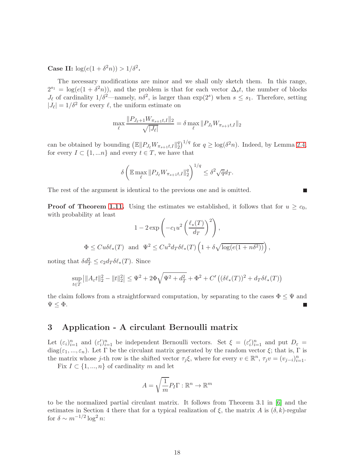**Case II:**  $\log(e(1 + \delta^2 n)) > 1/\delta^2$ .

The necessary modifications are minor and we shall only sketch them. In this range,  $2^{s_1} = \log(e(1 + \delta^2 n))$ , and the problem is that for each vector  $\Delta_s t$ , the number of blocks  $J_{\ell}$  of cardinality  $1/\delta^2$ —namely,  $n\delta^2$ , is larger than  $\exp(2^s)$  when  $s \leq s_1$ . Therefore, setting  $|J_{\ell}| = 1/\delta^2$  for every  $\ell$ , the uniform estimate on

$$
\max_{\ell} \frac{\|P_{J_{\ell}+1} W_{\pi_{s+1}t,I}\|_2}{\sqrt{|J_{\ell}|}} = \delta \max_{\ell} \|P_{J_{\ell}} W_{\pi_{s+1}t,I}\|_2
$$

can be obtained by bounding  $(\mathbb{E} || P_{J_{\ell}} W_{\pi_{s+1} t, I} ||_2^q)$  $\binom{q}{2}^{1/q}$  for  $q \ge \log(\delta^2 n)$ . Indeed, by Lemma [2.4,](#page-10-0) for every  $I \subset \{1,...n\}$  and every  $t \in T$ , we have that

$$
\delta \left( \mathbb{E} \max_{\ell} \| P_{J_{\ell}} W_{\pi_{s+1} t, I} \|_{2}^{q} \right)^{1/q} \leq \delta^{2} \sqrt{q} d_{T}.
$$

**Talent** 

The rest of the argument is identical to the previous one and is omitted.

**Proof of Theorem [1.11.](#page-3-3)** Using the estimates we established, it follows that for  $u \geq c_0$ , with probability at least

$$
1 - 2 \exp\left(-c_1 u^2 \left(\frac{\ell_*(T)}{d_T}\right)^2\right),
$$
  

$$
\Phi \le C u \delta \ell_*(T) \text{ and } \Psi^2 \le C u^2 d_T \delta \ell_*(T) \left(1 + \delta \sqrt{\log(e(1 + n\delta^2))}\right),
$$

noting that  $\delta d_T^2 \leq c_2 d_T \delta \ell_*(T)$ . Since

$$
\sup_{t \in T} ||A_{\varepsilon}t||_2^2 - ||t||_2^2 \le \Psi^2 + 2\Phi\sqrt{\Psi^2 + d_T^2} + \Phi^2 + C'\left( (\delta\ell_*(T))^2 + d_T\delta\ell_*(T) \right)
$$

the claim follows from a straightforward computation, by separating to the cases  $\Phi \leq \Psi$  and  $\Psi \leq \Phi$ .

# <span id="page-17-0"></span>3 Application - A circulant Bernoulli matrix

Let  $(\varepsilon_i)_{i=1}^n$  and  $(\varepsilon_i')_{i=1}^n$  be independent Bernoulli vectors. Set  $\xi = (\varepsilon_i')_{i=1}^n$  and put  $D_{\varepsilon}$ diag( $\varepsilon_1, ..., \varepsilon_n$ ). Let  $\Gamma$  be the circulant matrix generated by the random vector  $\xi$ ; that is,  $\Gamma$  is the matrix whose j-th row is the shifted vector  $\tau_j \xi$ , where for every  $v \in \mathbb{R}^n$ ,  $\tau_j v = (v_{j-i})_{i=1}^n$ .

Fix  $I \subset \{1, ..., n\}$  of cardinality m and let

$$
A = \sqrt{\frac{1}{m}} P_I \Gamma : \mathbb{R}^n \to \mathbb{R}^m
$$

to be the normalized partial circulant matrix. It follows from Theorem 3.1 in [\[6\]](#page-19-5) and the estimates in Section 4 there that for a typical realization of  $\xi$ , the matrix A is  $(\delta, k)$ -regular for  $\delta \sim m^{-1/2} \log^2 n$ :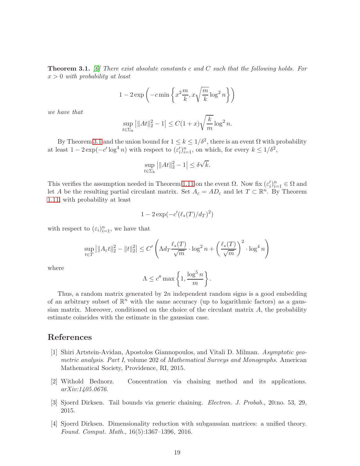<span id="page-18-4"></span>Theorem 3.1. *[\[6\]](#page-19-5) There exist absolute constants* c *and* C *such that the following holds. For* x > 0 *with probability at least*

$$
1 - 2\exp\left(-c\min\left\{x^2\frac{m}{k}, x\sqrt{\frac{m}{k}}\log^2 n\right\}\right)
$$

*we have that*

$$
\sup_{t \in \Sigma_k} |||At||_2^2 - 1| \le C(1+x)\sqrt{\frac{k}{m}} \log^2 n.
$$

By Theorem [3.1](#page-18-4) and the union bound for  $1 \le k \le 1/\delta^2$ , there is an event  $\Omega$  with probability at least  $1 - 2\exp(-c'\log^4 n)$  with respect to  $(\varepsilon_i')_{i=1}^n$ , on which, for every  $k \leq 1/\delta^2$ ,

$$
\sup_{t \in \Sigma_k} \left| \|At\|_2^2 - 1 \right| \le \delta \sqrt{k}.
$$

This verifies the assumption needed in Theorem [1.11](#page-3-3) on the event  $\Omega$ . Now fix  $(\epsilon'_i)_{i=1}^n \in \Omega$  and let A be the resulting partial circulant matrix. Set  $A_{\varepsilon} = AD_{\varepsilon}$  and let  $T \subset \mathbb{R}^n$ . By Theorem [1.11,](#page-3-3) with probability at least

$$
1-2\exp(-c'(\ell_*(T)/d_T)^2)
$$

with respect to  $(\varepsilon_i)_{i=1}^n$ , we have that

$$
\sup_{t \in T} ||A_{\varepsilon}t||_2^2 - ||t||_2^2 \le C' \left( \Lambda d_T \frac{\ell_*(T)}{\sqrt{m}} \cdot \log^2 n + \left( \frac{\ell_*(T)}{\sqrt{m}} \right)^2 \cdot \log^4 n \right)
$$

where

$$
\Lambda \le c'' \max \left\{ 1, \frac{\log^5 n}{m} \right\}.
$$

Thus, a random matrix generated by  $2n$  independent random signs is a good embedding of an arbitrary subset of  $\mathbb{R}^n$  with the same accuracy (up to logarithmic factors) as a gaussian matrix. Moreover, conditioned on the choice of the circulant matrix A, the probability estimate coincides with the estimate in the gaussian case.

## <span id="page-18-3"></span>References

- [1] Shiri Artstein-Avidan, Apostolos Giannopoulos, and Vitali D. Milman. *Asymptotic geometric analysis. Part I*, volume 202 of *Mathematical Surveys and Monographs*. American Mathematical Society, Providence, RI, 2015.
- <span id="page-18-2"></span><span id="page-18-1"></span>[2] Withold Bednorz. Concentration via chaining method and its applications. *arXiv:1405.0676*.
- <span id="page-18-0"></span>[3] Sjoerd Dirksen. Tail bounds via generic chaining. *Electron. J. Probab.*, 20:no. 53, 29, 2015.
- [4] Sjoerd Dirksen. Dimensionality reduction with subgaussian matrices: a unified theory. *Found. Comput. Math.*, 16(5):1367–1396, 2016.